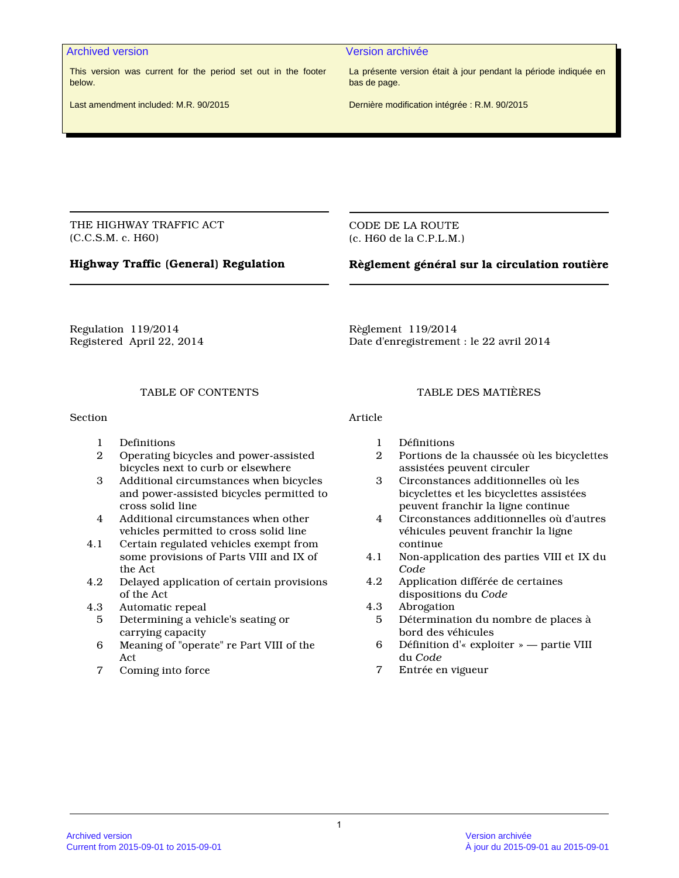#### Archived version Version archivée

This version was current for the period set out in the footer below.

La présente version était à jour pendant la période indiquée en bas de page.

Last amendment included: M.R. 90/2015

Dernière modification intégrée : R.M. 90/2015

THE HIGHWAY TRAFFIC ACT (C.C.S.M. c. H60)

CODE DE LA ROUTE (c. H60 de la C.P.L.M.)

# **Highway Traffic (General) Regulation**

# **Règlement général sur la circulation routière**

Regulation 119/2014 Registered April 22, 2014 Règlement 119/2014 Date d'enregistrement : le 22 avril 2014

## TABLE OF CONTENTS

Section

- 1 Definitions
- 2 Operating bicycles and power-assisted bicycles next to curb or elsewhere
- 3 Additional circumstances when bicycles and power-assisted bicycles permitted to cross solid line
- 4 Additional circumstances when other vehicles permitted to cross solid line
- 4.1 Certain regulated vehicles exempt from some provisions of Parts VIII and IX of the Act
- 4.2 Delayed application of certain provisions of the Act
- 4.3 Automatic repeal
	- 5 Determining a vehicle's seating or carrying capacity
	- 6 Meaning of "operate" re Part VIII of the Act
	- 7 Coming into force

#### TABLE DES MATIÈRES

Article

- 1 Définitions
- 2 Portions de la chaussée où les bicyclettes assistées peuvent circuler
- 3 Circonstances additionnelles où les bicyclettes et les bicyclettes assistées peuvent franchir la ligne continue
- 4 Circonstances additionnelles où d'autres véhicules peuvent franchir la ligne continue
- 4.1 Non-application des parties VIII et IX du *Code*
- 4.2 Application différée de certaines dispositions du *Code*
- 4.3 Abrogation
	- 5 Détermination du nombre de places à bord des véhicules
	- 6 Définition d'« exploiter » partie VIII du *Code*
	- 7 Entrée en vigueur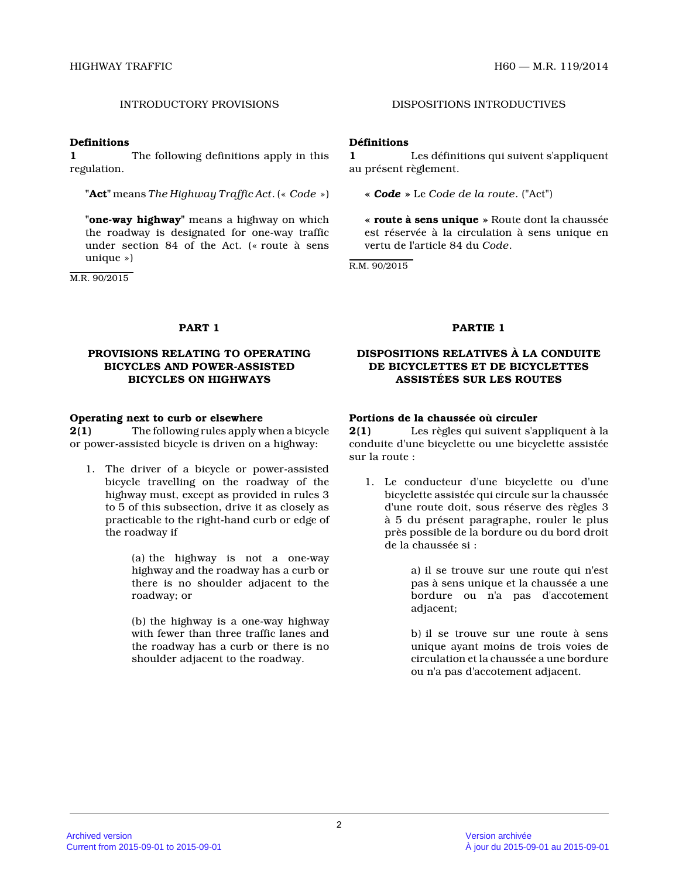#### **Definitions**

**1** The following definitions apply in this regulation.

**"Act"** means *The Highway Traffic Act*. (« *Code* »)

**"one-way highway"** means a highway on which the roadway is designated for one-way traffic under section 84 of the Act. (« route à sens unique »)

M.R. 90/2015

# INTRODUCTORY PROVISIONS DISPOSITIONS INTRODUCTIVES

## **Définitions**

**1** Les définitions qui suivent s'appliquent au présent règlement.

**«** *Code* **»** Le *Code de la route*. ("Act")

**« route à sens unique »** Route dont la chaussée est réservée à la circulation à sens unique en vertu de l'article 84 du *Code* .

R.M. 90/2015

### **PROVISIONS RELATING TO OPERATING BICYCLES AND POWER-ASSISTED BICYCLES ON HIGHWAYS**

#### **Operating next to curb or elsewhere**

**2(1)** The following rules apply when a bicycle or power-assisted bicycle is driven on a highway:

1. The driver of a bicycle or power-assisted bicycle travelling on the roadway of the highway must, except as provided in rules 3 to 5 of this subsection, drive it as closely as practicable to the right-hand curb or edge of the roadway if

> (a) the highway is not a one-way highway and the roadway has a curb or there is no shoulder adjacent to the roadway; or

> (b) the highway is a one-way highway with fewer than three traffic lanes and the roadway has a curb or there is no shoulder adjacent to the roadway.

#### **PART 1 PARTIE 1**

## **DISPOSITIONS RELATIVES À LA CONDUITE DE BICYCLETTES ET DE BICYCLETTES ASSISTÉES SUR LES ROUTES**

## **Portions de la chaussée où circuler**

**2(1)** Les règles qui suivent s'appliquent à la conduite d'une bicyclette ou une bicyclette assisté e sur la route :

1. Le conducteur d'une bicyclette ou d'une bicyclette assistée qui circule sur la chaussée d'une route doit, sous réserve des règles 3 à 5 du présent paragraphe, rouler le plus près possible de la bordure ou du bord droit de la chaussée si :

> a) il se trouve sur une route qui n'est pas à sens unique et la chaussée a une bordure ou n'a pas d'accotement adjacent;

> b) il se trouve sur une route à sens unique ayant moins de trois voies de circulation et la chaussée a une bordure ou n'a pas d'accotement adjacent.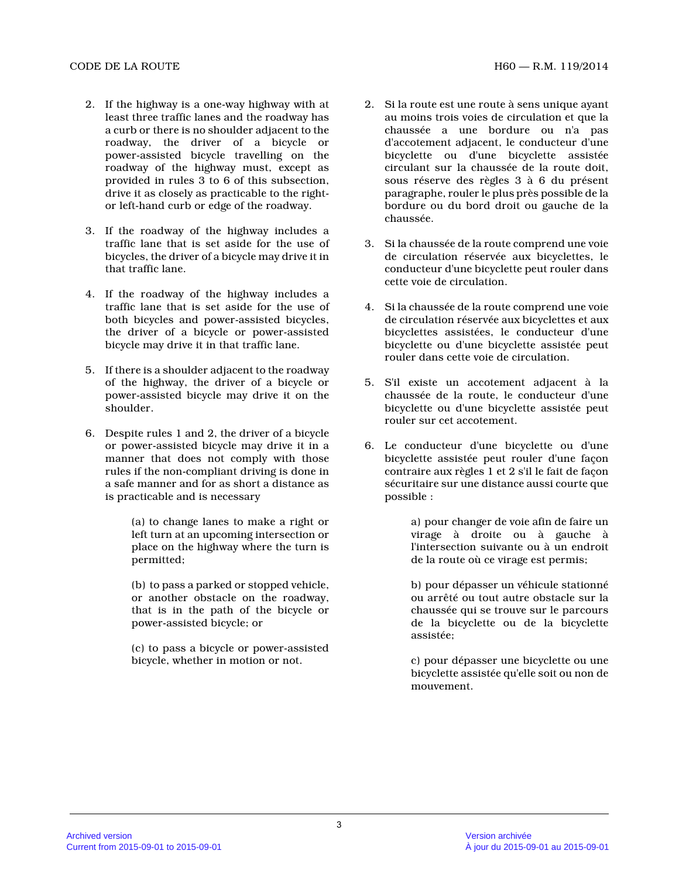- 2. If the highway is a one-way highway with at least three traffic lanes and the roadway has a curb or there is no shoulder adjacent to the roadway, the driver of a bicycle or power-assisted bicycle travelling on the roadway of the highway must, except as provided in rules 3 to 6 of this subsection, drive it as closely as practicable to the rightor left-hand curb or edge of the roadway.
- 3. If the roadway of the highway includes a traffic lane that is set aside for the use of bicycles, the driver of a bicycle may drive it in that traffic lane.
- 4. If the roadway of the highway includes a traffic lane that is set aside for the use of both bicycles and power-assisted bicycles, the driver of a bicycle or power-assisted bicycle may drive it in that traffic lane.
- 5. If there is a shoulder adjacent to the roadway of the highway, the driver of a bicycle or power-assisted bicycle may drive it on the shoulder.
- 6. Despite rules 1 and 2, the driver of a bicycle or power-assisted bicycle may drive it in a manner that does not comply with those rules if the non-compliant driving is done in a safe manner and for as short a distance as is practicable and is necessary

(a) to change lanes to make a right or left turn at an upcoming intersection or place on the highway where the turn is permitted;

(b) to pass a parked or stopped vehicle, or another obstacle on the roadway, that is in the path of the bicycle or power-assisted bicycle; or

(c) to pass a bicycle or power-assisted bicycle, whether in motion or not.

- 2. Si la route est une route à sens unique ayant au moins trois voies de circulation et que la chaussée a une bordure ou n'a pas d'accotement adjacent, le conducteur d'une bicyclette ou d'une bicyclette assistée circulant sur la chaussée de la route doit, sous réserve des règles 3 à 6 du présent paragraphe, rouler le plus près possible de la bordure ou du bord droit ou gauche de la chaussée.
- 3. Si la chaussée de la route comprend une voie de circulation réservée aux bicyclettes, le conducteur d'une bicyclette peut rouler dans cette voie de circulation.
- 4. Si la chaussée de la route comprend une voie de circulation réservée aux bicyclettes et aux bicyclettes assistées, le conducteur d'une bicyclette ou d'une bicyclette assistée peut rouler dans cette voie de circulation.
- 5. S'il existe un accotement adjacent à la chaussée de la route, le conducteur d'une bicyclette ou d'une bicyclette assistée peut rouler sur cet accotement.
- 6. Le conducteur d'une bicyclette ou d'une bicyclette assistée peut rouler d'une façon contraire aux règles 1 et 2 s'il le fait de façon sécuritaire sur une distance aussi courte que possible :

a) pour changer de voie afin de faire un virage à droite ou à gauche à l'intersection suivante ou à un endroit de la route où ce virage est permis;

b) pour dépasser un véhicule stationné ou arrêté ou tout autre obstacle sur la chaussée qui se trouve sur le parcours de la bicyclette ou de la bicyclette assistée;

c) pour dépasser une bicyclette ou une bicyclette assistée qu'elle soit ou non de mouvement.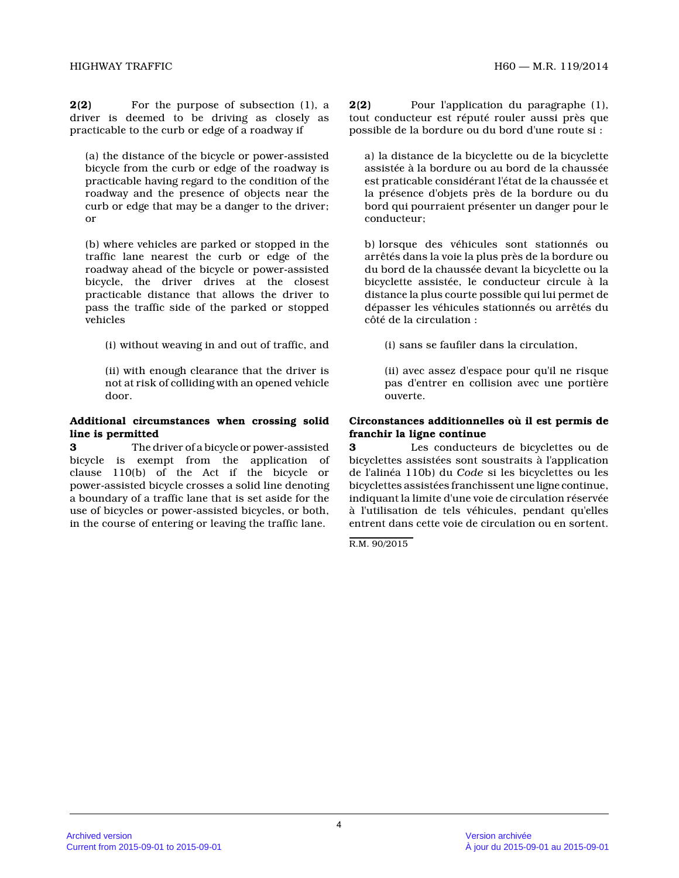**2(2)** For the purpose of subsection (1), a driver is deemed to be driving as closely as practicable to the curb or edge of a roadway if

(a) the distance of the bicycle or power-assisted bicycle from the curb or edge of the roadway is practicable having regard to the condition of the roadway and the presence of objects near the curb or edge that may be a danger to the driver; or

(b) where vehicles are parked or stopped in the traffic lane nearest the curb or edge of the roadway ahead of the bicycle or power-assisted bicycle, the driver drives at the closest practicable distance that allows the driver to pass the traffic side of the parked or stopped vehicles

(i) without weaving in and out of traffic, and

(ii) with enough clearance that the driver is not at risk of colliding with an opened vehicle door.

#### **Additional circumstances when crossing solid line is permitted**

**3** The driver of a bicycle or power-assisted bicycle is exempt from the application of clause 110(b) of the Act if the bicycle or power-assisted bicycle crosses a solid line denotin g a boundary of a traffic lane that is set aside for the use of bicycles or power-assisted bicycles, or both , in the course of entering or leaving the traffic lane.

**2(2)** Pour l'application du paragraphe (1), tout conducteur est réputé rouler aussi près que possible de la bordure ou du bord d'une route si :

a) la distance de la bicyclette ou de la bicyclette assistée à la bordure ou au bord de la chaussée est praticable considérant l'état de la chaussée et la présence d'objets près de la bordure ou du bord qui pourraient présenter un danger pour le conducteur;

b) lorsque des véhicules sont stationnés ou arrêtés dans la voie la plus près de la bordure ou du bord de la chaussée devant la bicyclette ou la bicyclette assistée, le conducteur circule à la distance la plus courte possible qui lui permet de dépasser les véhicules stationnés ou arrêtés du côté de la circulation :

(i) sans se faufiler dans la circulation,

(ii) avec assez d'espace pour qu'il ne risque pas d'entrer en collision avec une portière ouverte.

## **Circonstances additionnelles où il est permis de franchir la ligne continue**

**3** Les conducteurs de bicyclettes ou de bicyclettes assistées sont soustraits à l'application de l'alinéa 110b) du *Code* si les bicyclettes ou les bicyclettes assistées franchissent une ligne continue, indiquant la limite d'une voie de circulation réservée à l'utilisation de tels véhicules, pendant qu'elles entrent dans cette voie de circulation ou en sortent.

R.M. 90/2015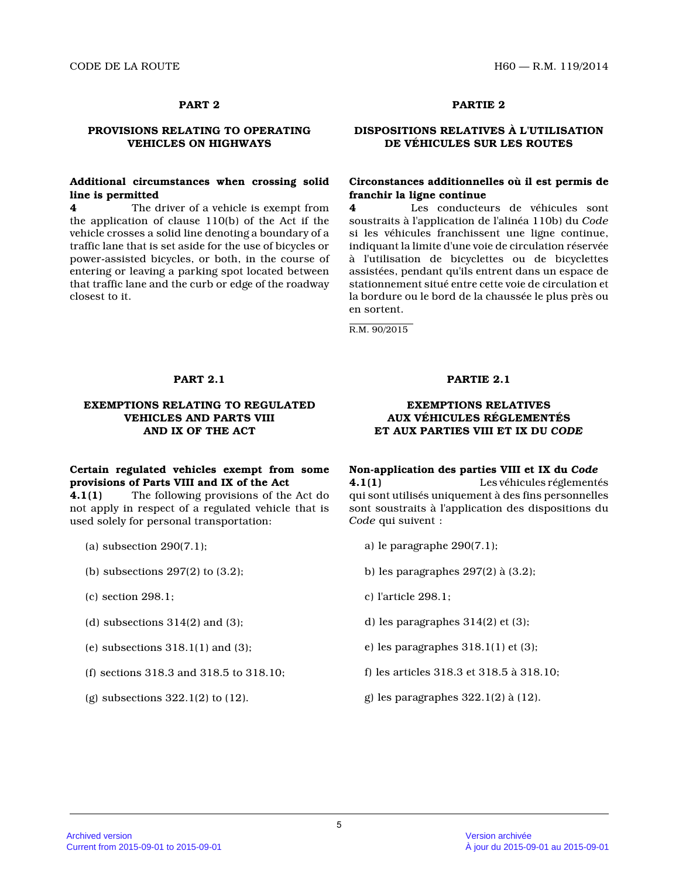# **PROVISIONS RELATING TO OPERATING VEHICLES ON HIGHWAYS**

## **Additional circumstances when crossing solid line is permitted**

**4** The driver of a vehicle is exempt from the application of clause 110(b) of the Act if the vehicle crosses a solid line denoting a boundary of a traffic lane that is set aside for the use of bicycles or power-assisted bicycles, or both, in the course of entering or leaving a parking spot located between that traffic lane and the curb or edge of the roadway closest to it.

# **PART 2 PARTIE 2**

# **DISPOSITIONS RELATIVES À L'UTILISATION DE VÉHICULES SUR LES ROUTES**

## **Circonstances additionnelles où il est permis de franchir la ligne continue**

**4** Les conducteurs de véhicules sont soustraits à l'application de l'alinéa 110b) du *Code* si les véhicules franchissent une ligne continue, indiquant la limite d'une voie de circulation réservée à l'utilisation de bicyclettes ou de bicyclettes assistées, pendant qu'ils entrent dans un espace de stationnement situé entre cette voie de circulation et la bordure ou le bord de la chaussée le plus près o u en sortent.

R.M. 90/2015

#### **EXEMPTIONS RELATING TO REGULATED VEHICLES AND PARTS VIII AND IX OF THE ACT**

# **Certain regulated vehicles exempt from some provisions of Parts VIII and IX of the Act**

**4.1(1)** The following provisions of the Act do not apply in respect of a regulated vehicle that is used solely for personal transportation:

- (a) subsection 290(7.1);
- (b) subsections 297(2) to (3.2);
- (c) section 298.1;
- (d) subsections  $314(2)$  and  $(3)$ ;
- (e) subsections  $318.1(1)$  and  $(3)$ ;
- (f) sections 318.3 and 318.5 to 318.10;
- (g) subsections 322.1(2) to (12).

### **PART 2.1 PARTIE 2.1**

### **EXEMPTIONS RELATIVES AUX VÉHICULES RÉGLEMENTÉS ET AUX PARTIES VIII ET IX DU** *CODE*

#### **Non-application des parties VIII et IX du** *Code*

**4.1(1)** Les véhicules réglementés qui sont utilisés uniquement à des fins personnelle s sont soustraits à l'application des dispositions du *Code* qui suivent :

- a) le paragraphe 290(7.1);
- b) les paragraphes 297(2) à (3.2);
- c) l'article 298.1;
- d) les paragraphes 314(2) et (3);
- e) les paragraphes 318.1(1) et (3);
- f) les articles 318.3 et 318.5 à 318.10;
- g) les paragraphes 322.1(2) à (12).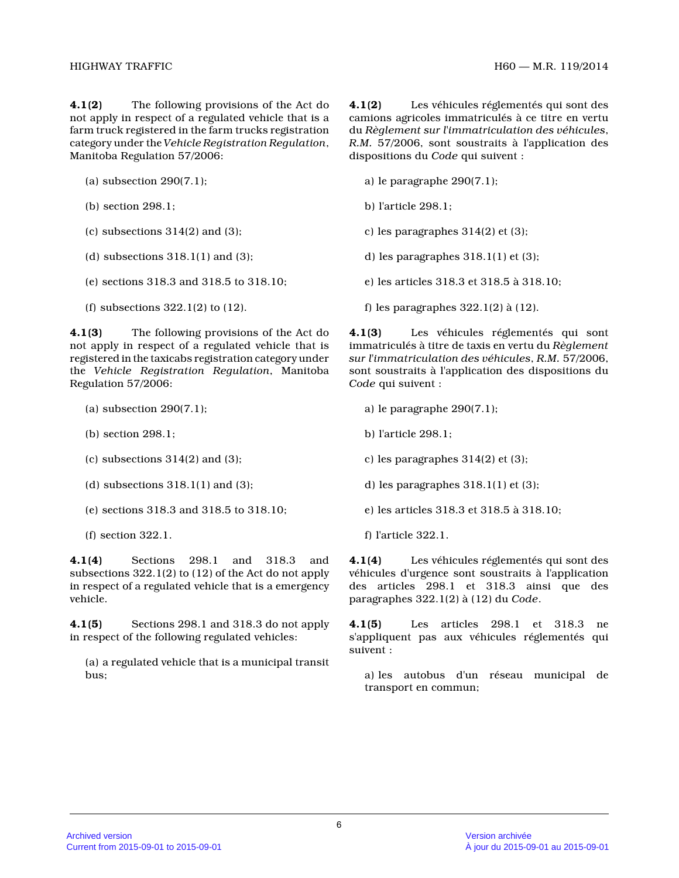**4.1(2)** The following provisions of the Act do not apply in respect of a regulated vehicle that is a farm truck registered in the farm trucks registration category under the *Vehicle Registration Regulation* , Manitoba Regulation 57/2006:

- (a) subsection 290(7.1);
- (b) section 298.1;
- (c) subsections  $314(2)$  and  $(3)$ ;
- (d) subsections  $318.1(1)$  and  $(3)$ ;
- (e) sections 318.3 and 318.5 to 318.10;
- (f) subsections 322.1(2) to (12).

**4.1(3)** The following provisions of the Act do not apply in respect of a regulated vehicle that is registered in the taxicabs registration category under the *Vehicle Registration Regulation*, Manitoba Regulation 57/2006:

- (a) subsection 290(7.1);
- (b) section 298.1;
- (c) subsections 314(2) and (3);
- (d) subsections  $318.1(1)$  and  $(3)$ ;
- (e) sections 318.3 and 318.5 to 318.10;
- (f) section 322.1.

**4.1(4)** Sections 298.1 and 318.3 and subsections 322.1(2) to (12) of the Act do not appl y in respect of a regulated vehicle that is a emergency vehicle.

**4.1(5)** Sections 298.1 and 318.3 do not apply in respect of the following regulated vehicles:

(a) a regulated vehicle that is a municipal transit bus;

**4.1(2)** Les véhicules réglementés qui sont des camions agricoles immatriculés à ce titre en vertu du *Règlement sur l'immatriculation des véhicules* , *R.M.* 57/2006, sont soustraits à l'application des dispositions du *Code* qui suivent :

- a) le paragraphe 290(7.1);
- b) l'article 298.1;
- c) les paragraphes 314(2) et (3);
- d) les paragraphes 318.1(1) et (3);
- e) les articles 318.3 et 318.5 à 318.10;
- f) les paragraphes 322.1(2) à (12).

**4.1(3)** Les véhicules réglementés qui sont immatriculés à titre de taxis en vertu du *Règlement sur l'immatriculation des véhicules*, *R.M.* 57/2006, sont soustraits à l'application des dispositions du *Code* qui suivent :

- a) le paragraphe 290(7.1);
- b) l'article 298.1;
- c) les paragraphes 314(2) et (3);
- d) les paragraphes 318.1(1) et (3);
- e) les articles 318.3 et 318.5 à 318.10;
- f) l'article 322.1.

**4.1(4)** Les véhicules réglementés qui sont des véhicules d'urgence sont soustraits à l'application des articles 298.1 et 318.3 ainsi que des paragraphes 322.1(2) à (12) du *Code* .

**4.1(5)** Les articles 298.1 et 318.3 ne s'appliquent pas aux véhicules réglementés qui suivent :

a) les autobus d'un réseau municipal de transport en commun;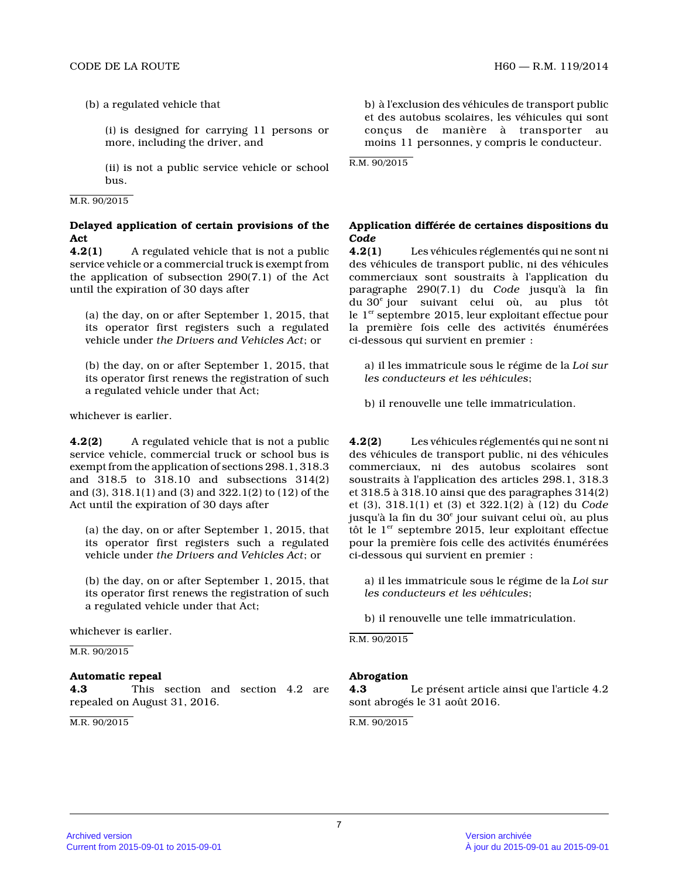(b) a regulated vehicle that

(i) is designed for carrying 11 persons or more, including the driver, and

(ii) is not a public service vehicle or school bus.

#### M.R. 90/2015

## **Delayed application of certain provisions of the Act**

**4.2(1)** A regulated vehicle that is not a public service vehicle or a commercial truck is exempt fro m the application of subsection 290(7.1) of the Act until the expiration of 30 days after

(a) the day, on or after September 1, 2015, that its operator first registers such a regulated vehicle under *the Drivers and Vehicles Act*; or

(b) the day, on or after September 1, 2015, that its operator first renews the registration of such a regulated vehicle under that Act;

whichever is earlier.

**4.2(2)** A regulated vehicle that is not a public service vehicle, commercial truck or school bus is exempt from the application of sections 298.1, 318. 3 and 318.5 to 318.10 and subsections 314(2) and (3), 318.1(1) and (3) and 322.1(2) to (12) of the Act until the expiration of 30 days after

(a) the day, on or after September 1, 2015, that its operator first registers such a regulated vehicle under *the Drivers and Vehicles Act*; or

(b) the day, on or after September 1, 2015, that its operator first renews the registration of such a regulated vehicle under that Act;

whichever is earlier.

M.R. 90/2015

## **Automatic repeal**

**4.3** This section and section 4.2 are repealed on August 31, 2016.

M.R. 90/2015

b) à l'exclusion des véhicules de transport public et des autobus scolaires, les véhicules qui sont conçus de manière à transporter au moins 11 personnes, y compris le conducteur.

R.M. 90/2015

# **Application différée de certaines dispositions du** *Code*

**4.2(1)** Les véhicules réglementés qui ne sont ni des véhicules de transport public, ni des véhicules commerciaux sont soustraits à l'application du paragraphe 290(7.1) du *Code* jusqu'à la fin du 30<sup>e</sup> jour suivant celui où, au plus tôt le  $1<sup>er</sup>$  septembre 2015, leur exploitant effectue pour la première fois celle des activités énumérées ci-dessous qui survient en premier :

a) il les immatricule sous le régime de la *Loi sur les conducteurs et les véhicules* ;

b) il renouvelle une telle immatriculation.

**4.2(2)** Les véhicules réglementés qui ne sont ni des véhicules de transport public, ni des véhicules commerciaux, ni des autobus scolaires sont soustraits à l'application des articles 298.1, 318. 3 et 318.5 à 318.10 ainsi que des paragraphes 314(2) et (3), 318.1(1) et (3) et 322.1(2) à (12) du *Code* jusqu'à la fin du 30<sup>e</sup> jour suivant celui où, au plus tôt le  $1<sup>er</sup>$  septembre 2015, leur exploitant effectue pour la première fois celle des activités énumérées ci-dessous qui survient en premier :

a) il les immatricule sous le régime de la *Loi sur les conducteurs et les véhicules* ;

b) il renouvelle une telle immatriculation.

R.M. 90/2015

## **Abrogation**

**4.3** Le présent article ainsi que l'article 4.2 sont abrogés le 31 août 2016.

R.M. 90/2015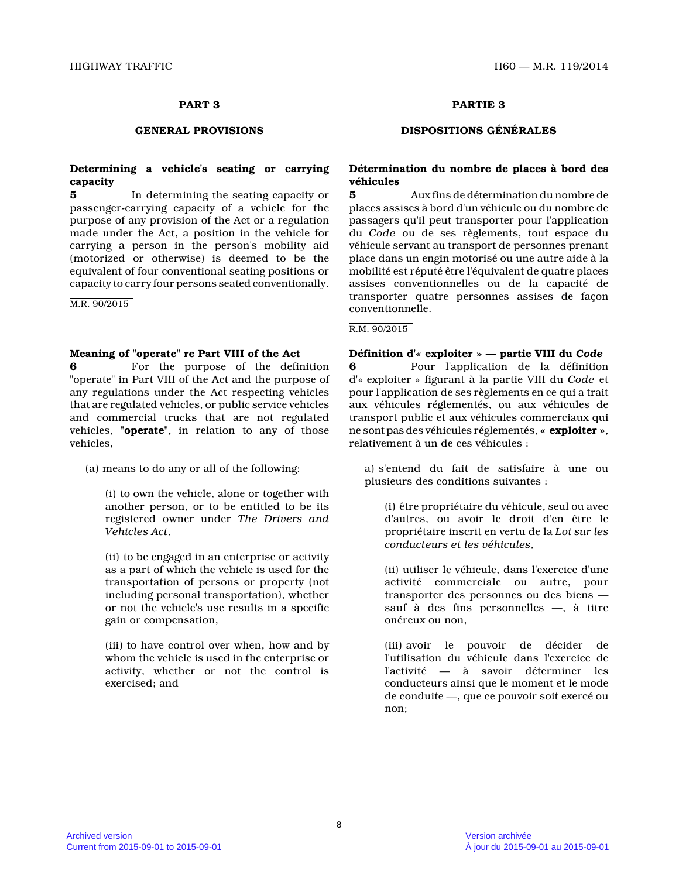# **Determining a vehicle's seating or carrying capacity**

**5** In determining the seating capacity or passenger-carrying capacity of a vehicle for the purpose of any provision of the Act or a regulation made under the Act, a position in the vehicle for carrying a person in the person's mobility aid (motorized or otherwise) is deemed to be the equivalent of four conventional seating positions o r capacity to carry four persons seated conventionally.

M.R. 90/2015

#### **Meaning of "operate" re Part VIII of the Act**

**6** For the purpose of the definition "operate" in Part VIII of the Act and the purpose o f any regulations under the Act respecting vehicles that are regulated vehicles, or public service vehicles and commercial trucks that are not regulated vehicles, **"operate"**, in relation to any of those vehicles,

(a) means to do any or all of the following:

(i) to own the vehicle, alone or together with another person, or to be entitled to be its registered owner under *The Drivers and Vehicles Act* ,

(ii) to be engaged in an enterprise or activity as a part of which the vehicle is used for the transportation of persons or property (not including personal transportation), whether or not the vehicle's use results in a specific gain or compensation,

(iii) to have control over when, how and by whom the vehicle is used in the enterprise or activity, whether or not the control is exercised; and

# **PART 3 PARTIE 3**

## **GENERAL PROVISIONS DISPOSITIONS GÉNÉRALES**

### **Détermination du nombre de places à bord des véhicules**

**5** Aux fins de détermination du nombre de places assises à bord d'un véhicule ou du nombre de passagers qu'il peut transporter pour l'application du *Code* ou de ses règlements, tout espace du véhicule servant au transport de personnes prenant place dans un engin motorisé ou une autre aide à la mobilité est réputé être l'équivalent de quatre places assises conventionnelles ou de la capacité de transporter quatre personnes assises de façon conventionnelle.

#### R.M. 90/2015

**Définition d'« exploiter » — partie VIII du** *Code* **6** Pour l'application de la définition d'« exploiter » figurant à la partie VIII du *Code* et pour l'application de ses règlements en ce qui a trait aux véhicules réglementés, ou aux véhicules de transport public et aux véhicules commerciaux qui ne sont pas des véhicules réglementés, **« exploiter »** , relativement à un de ces véhicules :

a) s'entend du fait de satisfaire à une ou plusieurs des conditions suivantes :

(i) être propriétaire du véhicule, seul ou avec d'autres, ou avoir le droit d'en être le propriétaire inscrit en vertu de la *Loi sur les conducteurs et les véhicules* ,

(ii) utiliser le véhicule, dans l'exercice d'une activité commerciale ou autre, pour transporter des personnes ou des biens sauf à des fins personnelles —, à titre onéreux ou non,

(iii) avoir le pouvoir de décider de l'utilisation du véhicule dans l'exercice de l'activité — à savoir déterminer les conducteurs ainsi que le moment et le mode de conduite —, que ce pouvoir soit exercé ou non;